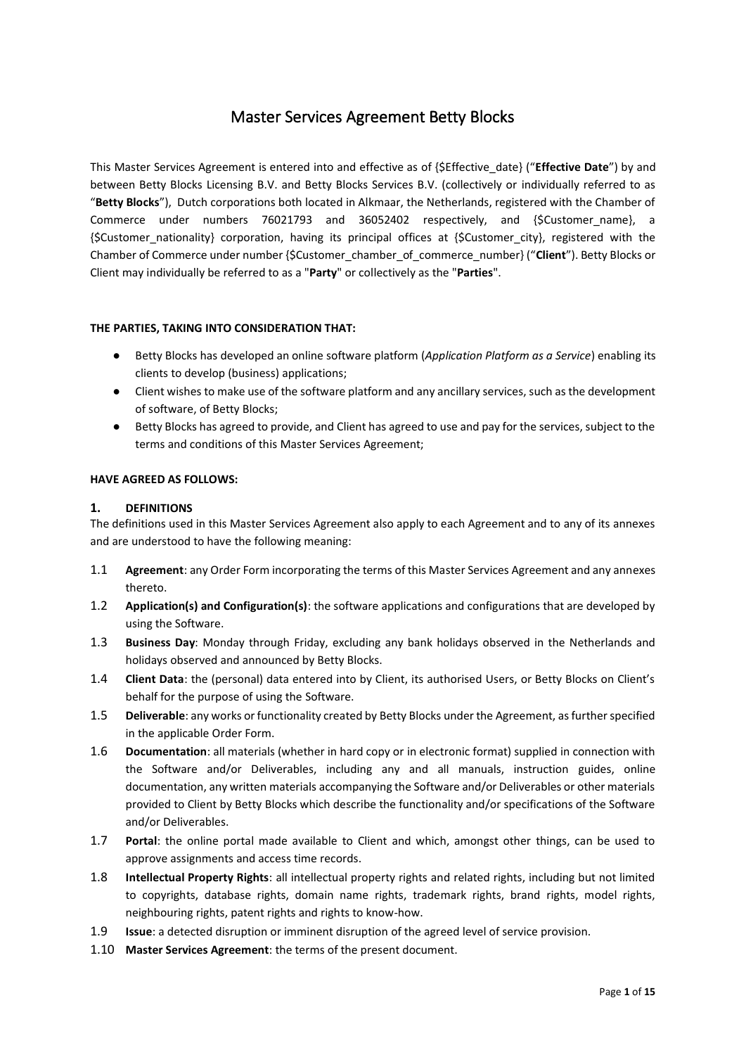# Master Services Agreement Betty Blocks

This Master Services Agreement is entered into and effective as of {\$Effective\_date} ("**Effective Date**") by and between Betty Blocks Licensing B.V. and Betty Blocks Services B.V. (collectively or individually referred to as "**Betty Blocks**"), Dutch corporations both located in Alkmaar, the Netherlands, registered with the Chamber of Commerce under numbers 76021793 and 36052402 respectively, and {\$Customer\_name}, a {\$Customer\_nationality} corporation, having its principal offices at {\$Customer\_city}, registered with the Chamber of Commerce under number {\$Customer\_chamber\_of\_commerce\_number} ("**Client**"). Betty Blocks or Client may individually be referred to as a "**Party**" or collectively as the "**Parties**".

# **THE PARTIES, TAKING INTO CONSIDERATION THAT:**

- Betty Blocks has developed an online software platform (*Application Platform as a Service*) enabling its clients to develop (business) applications;
- Client wishes to make use of the software platform and any ancillary services, such as the development of software, of Betty Blocks;
- Betty Blocks has agreed to provide, and Client has agreed to use and pay for the services, subject to the terms and conditions of this Master Services Agreement;

## **HAVE AGREED AS FOLLOWS:**

## **1. DEFINITIONS**

The definitions used in this Master Services Agreement also apply to each Agreement and to any of its annexes and are understood to have the following meaning:

- 1.1 **Agreement**: any Order Form incorporating the terms of this Master Services Agreement and any annexes thereto.
- 1.2 **Application(s) and Configuration(s)**: the software applications and configurations that are developed by using the Software.
- 1.3 **Business Day**: Monday through Friday, excluding any bank holidays observed in the Netherlands and holidays observed and announced by Betty Blocks.
- 1.4 **Client Data**: the (personal) data entered into by Client, its authorised Users, or Betty Blocks on Client's behalf for the purpose of using the Software.
- 1.5 **Deliverable**: any works or functionality created by Betty Blocks under the Agreement, as further specified in the applicable Order Form.
- 1.6 **Documentation**: all materials (whether in hard copy or in electronic format) supplied in connection with the Software and/or Deliverables, including any and all manuals, instruction guides, online documentation, any written materials accompanying the Software and/or Deliverables or other materials provided to Client by Betty Blocks which describe the functionality and/or specifications of the Software and/or Deliverables.
- 1.7 **Portal**: the online portal made available to Client and which, amongst other things, can be used to approve assignments and access time records.
- 1.8 **Intellectual Property Rights**: all intellectual property rights and related rights, including but not limited to copyrights, database rights, domain name rights, trademark rights, brand rights, model rights, neighbouring rights, patent rights and rights to know-how.
- 1.9 **Issue**: a detected disruption or imminent disruption of the agreed level of service provision.
- 1.10 **Master Services Agreement**: the terms of the present document.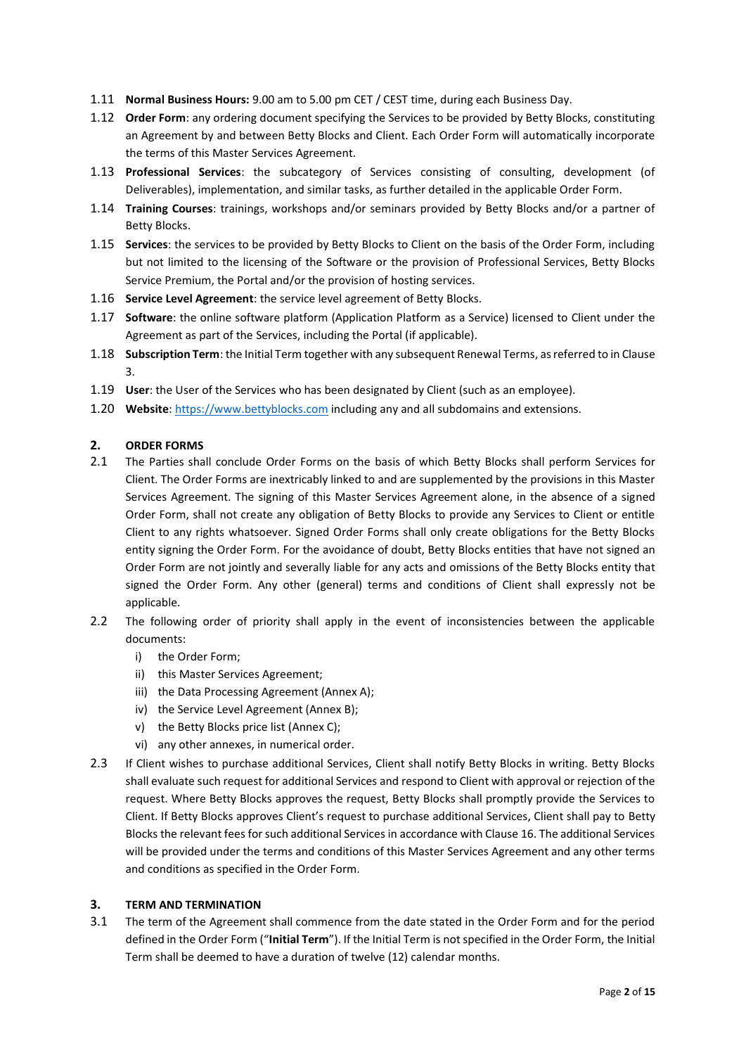- 1.11 **Normal Business Hours:** 9.00 am to 5.00 pm CET / CEST time, during each Business Day.
- 1.12 **Order Form**: any ordering document specifying the Services to be provided by Betty Blocks, constituting an Agreement by and between Betty Blocks and Client. Each Order Form will automatically incorporate the terms of this Master Services Agreement.
- 1.13 **Professional Services**: the subcategory of Services consisting of consulting, development (of Deliverables), implementation, and similar tasks, as further detailed in the applicable Order Form.
- 1.14 **Training Courses**: trainings, workshops and/or seminars provided by Betty Blocks and/or a partner of Betty Blocks.
- 1.15 **Services**: the services to be provided by Betty Blocks to Client on the basis of the Order Form, including but not limited to the licensing of the Software or the provision of Professional Services, Betty Blocks Service Premium, the Portal and/or the provision of hosting services.
- 1.16 **Service Level Agreement**: the service level agreement of Betty Blocks.
- 1.17 **Software**: the online software platform (Application Platform as a Service) licensed to Client under the Agreement as part of the Services, including the Portal (if applicable).
- 1.18 **Subscription Term**: the Initial Term together with any subsequent Renewal Terms, as referred to in Clause 3.
- 1.19 **User**: the User of the Services who has been designated by Client (such as an employee).
- 1.20 **Website**[: https://www.bettyblocks.com](https://www.bettyblocks.com/) including any and all subdomains and extensions.

## **2. ORDER FORMS**

- 2.1 The Parties shall conclude Order Forms on the basis of which Betty Blocks shall perform Services for Client. The Order Forms are inextricably linked to and are supplemented by the provisions in this Master Services Agreement. The signing of this Master Services Agreement alone, in the absence of a signed Order Form, shall not create any obligation of Betty Blocks to provide any Services to Client or entitle Client to any rights whatsoever. Signed Order Forms shall only create obligations for the Betty Blocks entity signing the Order Form. For the avoidance of doubt, Betty Blocks entities that have not signed an Order Form are not jointly and severally liable for any acts and omissions of the Betty Blocks entity that signed the Order Form. Any other (general) terms and conditions of Client shall expressly not be applicable.
- 2.2 The following order of priority shall apply in the event of inconsistencies between the applicable documents:
	- i) the Order Form;
	- ii) this Master Services Agreement;
	- iii) the Data Processing Agreement (Annex A);
	- iv) the Service Level Agreement (Annex B);
	- v) the Betty Blocks price list (Annex C);
	- vi) any other annexes, in numerical order.
- 2.3 If Client wishes to purchase additional Services, Client shall notify Betty Blocks in writing. Betty Blocks shall evaluate such request for additional Services and respond to Client with approval or rejection of the request. Where Betty Blocks approves the request, Betty Blocks shall promptly provide the Services to Client. If Betty Blocks approves Client's request to purchase additional Services, Client shall pay to Betty Blocks the relevant fees for such additional Services in accordance with Clause 16. The additional Services will be provided under the terms and conditions of this Master Services Agreement and any other terms and conditions as specified in the Order Form.

## **3. TERM AND TERMINATION**

3.1 The term of the Agreement shall commence from the date stated in the Order Form and for the period defined in the Order Form ("**Initial Term**"). If the Initial Term is not specified in the Order Form, the Initial Term shall be deemed to have a duration of twelve (12) calendar months.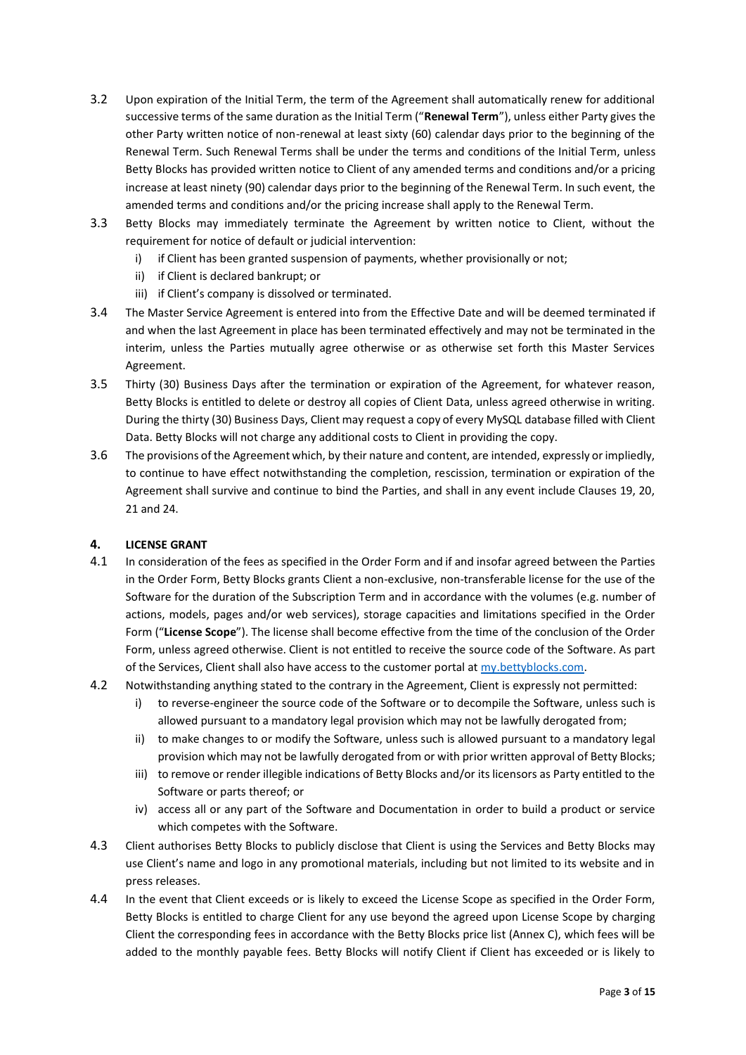- 3.2 Upon expiration of the Initial Term, the term of the Agreement shall automatically renew for additional successive terms of the same duration as the Initial Term ("**Renewal Term**"), unless either Party gives the other Party written notice of non-renewal at least sixty (60) calendar days prior to the beginning of the Renewal Term. Such Renewal Terms shall be under the terms and conditions of the Initial Term, unless Betty Blocks has provided written notice to Client of any amended terms and conditions and/or a pricing increase at least ninety (90) calendar days prior to the beginning of the Renewal Term. In such event, the amended terms and conditions and/or the pricing increase shall apply to the Renewal Term.
- 3.3 Betty Blocks may immediately terminate the Agreement by written notice to Client, without the requirement for notice of default or judicial intervention:
	- i) if Client has been granted suspension of payments, whether provisionally or not;
	- ii) if Client is declared bankrupt; or
	- iii) if Client's company is dissolved or terminated.
- 3.4 The Master Service Agreement is entered into from the Effective Date and will be deemed terminated if and when the last Agreement in place has been terminated effectively and may not be terminated in the interim, unless the Parties mutually agree otherwise or as otherwise set forth this Master Services Agreement.
- 3.5 Thirty (30) Business Days after the termination or expiration of the Agreement, for whatever reason, Betty Blocks is entitled to delete or destroy all copies of Client Data, unless agreed otherwise in writing. During the thirty (30) Business Days, Client may request a copy of every MySQL database filled with Client Data. Betty Blocks will not charge any additional costs to Client in providing the copy.
- 3.6 The provisions of the Agreement which, by their nature and content, are intended, expressly or impliedly, to continue to have effect notwithstanding the completion, rescission, termination or expiration of the Agreement shall survive and continue to bind the Parties, and shall in any event include Clauses 19, 20, 21 and 24.

# **4. LICENSE GRANT**

- 4.1 In consideration of the fees as specified in the Order Form and if and insofar agreed between the Parties in the Order Form, Betty Blocks grants Client a non-exclusive, non-transferable license for the use of the Software for the duration of the Subscription Term and in accordance with the volumes (e.g. number of actions, models, pages and/or web services), storage capacities and limitations specified in the Order Form ("**License Scope**"). The license shall become effective from the time of the conclusion of the Order Form, unless agreed otherwise. Client is not entitled to receive the source code of the Software. As part of the Services, Client shall also have access to the customer portal at [my.bettyblocks.com.](https://l.bettyblocks.com/login?service=https%3A%2F%2Fmy.bettyblocks.com%2F&uuid=95c73be26cc742b19cb590a449f2afab)
- 4.2 Notwithstanding anything stated to the contrary in the Agreement, Client is expressly not permitted:
	- i) to reverse-engineer the source code of the Software or to decompile the Software, unless such is allowed pursuant to a mandatory legal provision which may not be lawfully derogated from;
	- ii) to make changes to or modify the Software, unless such is allowed pursuant to a mandatory legal provision which may not be lawfully derogated from or with prior written approval of Betty Blocks;
	- iii) to remove or render illegible indications of Betty Blocks and/or its licensors as Party entitled to the Software or parts thereof; or
	- iv) access all or any part of the Software and Documentation in order to build a product or service which competes with the Software.
- 4.3 Client authorises Betty Blocks to publicly disclose that Client is using the Services and Betty Blocks may use Client's name and logo in any promotional materials, including but not limited to its website and in press releases.
- 4.4 In the event that Client exceeds or is likely to exceed the License Scope as specified in the Order Form, Betty Blocks is entitled to charge Client for any use beyond the agreed upon License Scope by charging Client the corresponding fees in accordance with the Betty Blocks price list (Annex C), which fees will be added to the monthly payable fees. Betty Blocks will notify Client if Client has exceeded or is likely to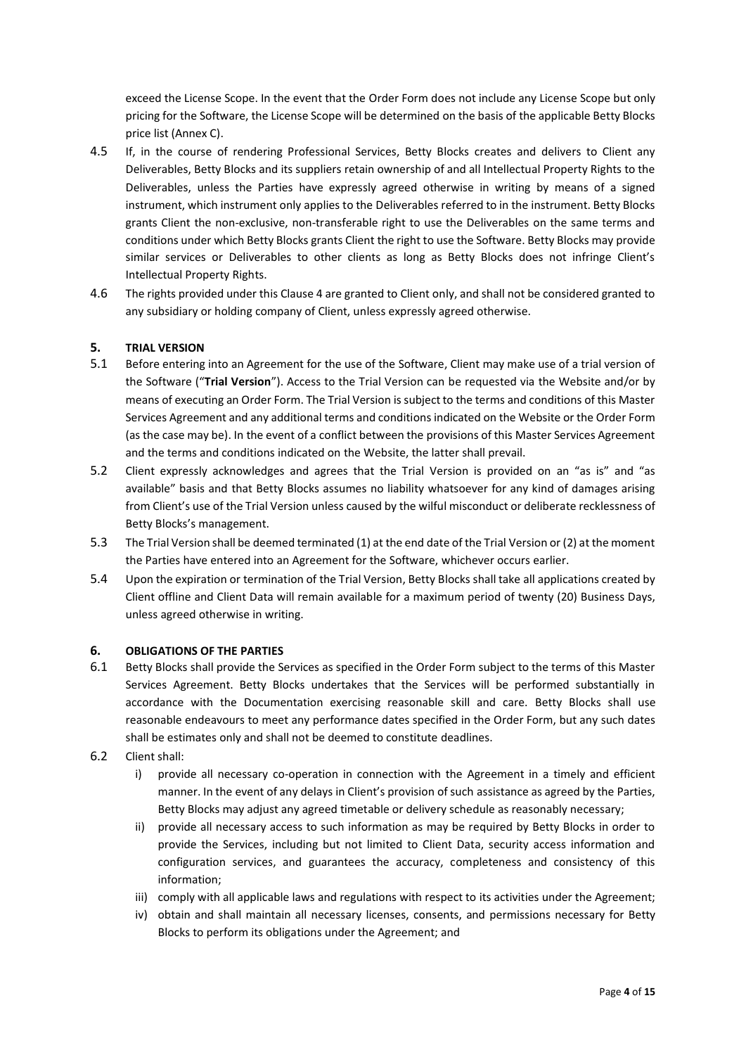exceed the License Scope. In the event that the Order Form does not include any License Scope but only pricing for the Software, the License Scope will be determined on the basis of the applicable Betty Blocks price list (Annex C).

- 4.5 If, in the course of rendering Professional Services, Betty Blocks creates and delivers to Client any Deliverables, Betty Blocks and its suppliers retain ownership of and all Intellectual Property Rights to the Deliverables, unless the Parties have expressly agreed otherwise in writing by means of a signed instrument, which instrument only applies to the Deliverables referred to in the instrument. Betty Blocks grants Client the non-exclusive, non-transferable right to use the Deliverables on the same terms and conditions under which Betty Blocks grants Client the right to use the Software. Betty Blocks may provide similar services or Deliverables to other clients as long as Betty Blocks does not infringe Client's Intellectual Property Rights.
- 4.6 The rights provided under this Clause 4 are granted to Client only, and shall not be considered granted to any subsidiary or holding company of Client, unless expressly agreed otherwise.

## **5. TRIAL VERSION**

- 5.1 Before entering into an Agreement for the use of the Software, Client may make use of a trial version of the Software ("**Trial Version**"). Access to the Trial Version can be requested via the Website and/or by means of executing an Order Form. The Trial Version is subject to the terms and conditions of this Master Services Agreement and any additional terms and conditions indicated on the Website or the Order Form (as the case may be). In the event of a conflict between the provisions of this Master Services Agreement and the terms and conditions indicated on the Website, the latter shall prevail.
- 5.2 Client expressly acknowledges and agrees that the Trial Version is provided on an "as is" and "as available" basis and that Betty Blocks assumes no liability whatsoever for any kind of damages arising from Client's use of the Trial Version unless caused by the wilful misconduct or deliberate recklessness of Betty Blocks's management.
- 5.3 The Trial Version shall be deemed terminated (1) at the end date of the Trial Version or (2) at the moment the Parties have entered into an Agreement for the Software, whichever occurs earlier.
- 5.4 Upon the expiration or termination of the Trial Version, Betty Blocks shall take all applications created by Client offline and Client Data will remain available for a maximum period of twenty (20) Business Days, unless agreed otherwise in writing.

## **6. OBLIGATIONS OF THE PARTIES**

- 6.1 Betty Blocks shall provide the Services as specified in the Order Form subject to the terms of this Master Services Agreement. Betty Blocks undertakes that the Services will be performed substantially in accordance with the Documentation exercising reasonable skill and care. Betty Blocks shall use reasonable endeavours to meet any performance dates specified in the Order Form, but any such dates shall be estimates only and shall not be deemed to constitute deadlines.
- 6.2 Client shall:
	- i) provide all necessary co-operation in connection with the Agreement in a timely and efficient manner. In the event of any delays in Client's provision of such assistance as agreed by the Parties, Betty Blocks may adjust any agreed timetable or delivery schedule as reasonably necessary;
	- ii) provide all necessary access to such information as may be required by Betty Blocks in order to provide the Services, including but not limited to Client Data, security access information and configuration services, and guarantees the accuracy, completeness and consistency of this information;
	- iii) comply with all applicable laws and regulations with respect to its activities under the Agreement;
	- iv) obtain and shall maintain all necessary licenses, consents, and permissions necessary for Betty Blocks to perform its obligations under the Agreement; and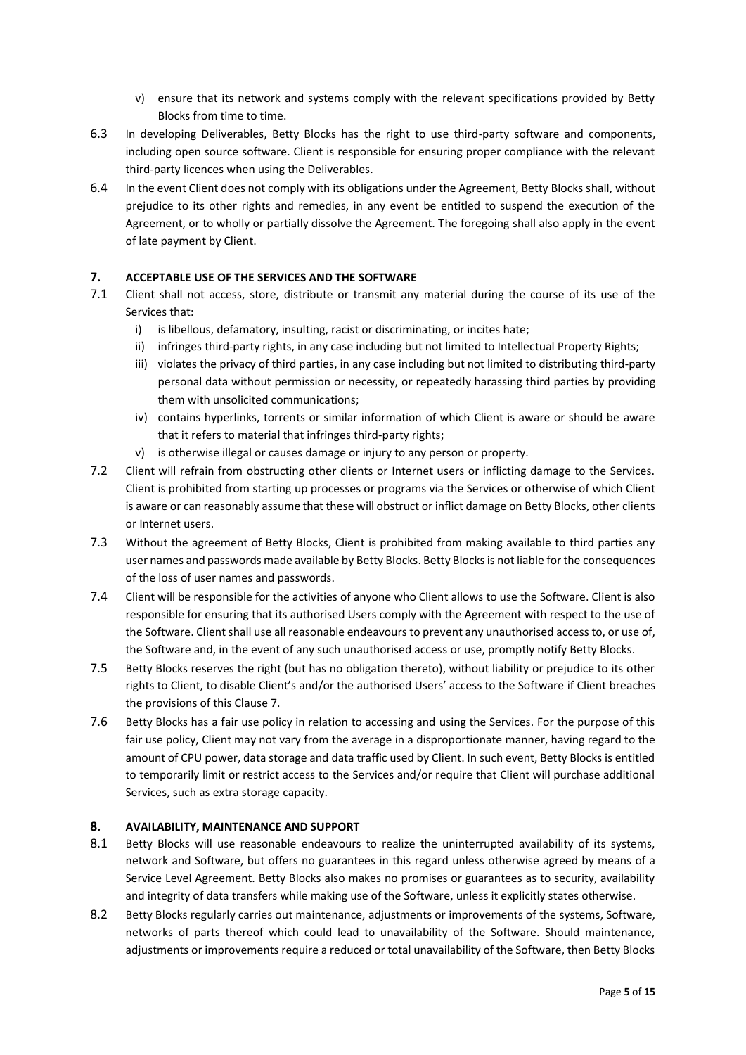- v) ensure that its network and systems comply with the relevant specifications provided by Betty Blocks from time to time.
- 6.3 In developing Deliverables, Betty Blocks has the right to use third-party software and components, including open source software. Client is responsible for ensuring proper compliance with the relevant third-party licences when using the Deliverables.
- 6.4 In the event Client does not comply with its obligations under the Agreement, Betty Blocks shall, without prejudice to its other rights and remedies, in any event be entitled to suspend the execution of the Agreement, or to wholly or partially dissolve the Agreement. The foregoing shall also apply in the event of late payment by Client.

# **7. ACCEPTABLE USE OF THE SERVICES AND THE SOFTWARE**

- 7.1 Client shall not access, store, distribute or transmit any material during the course of its use of the Services that:
	- i) is libellous, defamatory, insulting, racist or discriminating, or incites hate;
	- ii) infringes third-party rights, in any case including but not limited to Intellectual Property Rights;
	- iii) violates the privacy of third parties, in any case including but not limited to distributing third-party personal data without permission or necessity, or repeatedly harassing third parties by providing them with unsolicited communications;
	- iv) contains hyperlinks, torrents or similar information of which Client is aware or should be aware that it refers to material that infringes third-party rights;
	- v) is otherwise illegal or causes damage or injury to any person or property.
- 7.2 Client will refrain from obstructing other clients or Internet users or inflicting damage to the Services. Client is prohibited from starting up processes or programs via the Services or otherwise of which Client is aware or can reasonably assume that these will obstruct or inflict damage on Betty Blocks, other clients or Internet users.
- 7.3 Without the agreement of Betty Blocks, Client is prohibited from making available to third parties any user names and passwords made available by Betty Blocks. Betty Blocks is not liable for the consequences of the loss of user names and passwords.
- 7.4 Client will be responsible for the activities of anyone who Client allows to use the Software. Client is also responsible for ensuring that its authorised Users comply with the Agreement with respect to the use of the Software. Client shall use all reasonable endeavours to prevent any unauthorised access to, or use of, the Software and, in the event of any such unauthorised access or use, promptly notify Betty Blocks.
- 7.5 Betty Blocks reserves the right (but has no obligation thereto), without liability or prejudice to its other rights to Client, to disable Client's and/or the authorised Users' access to the Software if Client breaches the provisions of this Clause 7.
- 7.6 Betty Blocks has a fair use policy in relation to accessing and using the Services. For the purpose of this fair use policy, Client may not vary from the average in a disproportionate manner, having regard to the amount of CPU power, data storage and data traffic used by Client. In such event, Betty Blocks is entitled to temporarily limit or restrict access to the Services and/or require that Client will purchase additional Services, such as extra storage capacity.

## **8. AVAILABILITY, MAINTENANCE AND SUPPORT**

- 8.1 Betty Blocks will use reasonable endeavours to realize the uninterrupted availability of its systems, network and Software, but offers no guarantees in this regard unless otherwise agreed by means of a Service Level Agreement. Betty Blocks also makes no promises or guarantees as to security, availability and integrity of data transfers while making use of the Software, unless it explicitly states otherwise.
- 8.2 Betty Blocks regularly carries out maintenance, adjustments or improvements of the systems, Software, networks of parts thereof which could lead to unavailability of the Software. Should maintenance, adjustments or improvements require a reduced or total unavailability of the Software, then Betty Blocks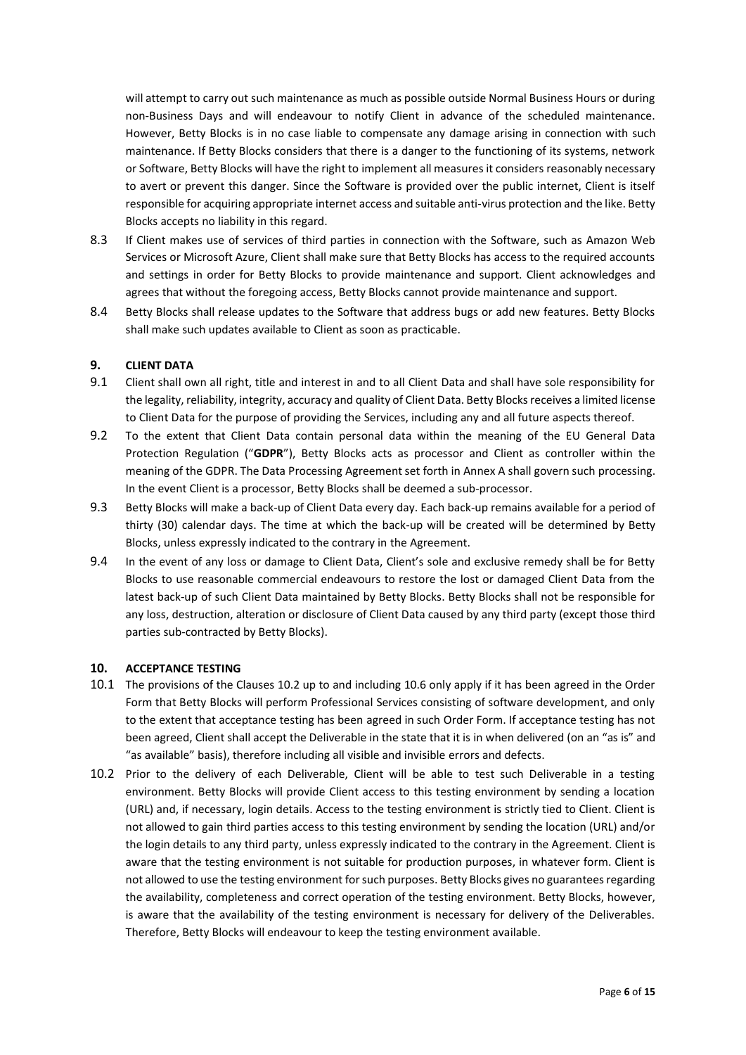will attempt to carry out such maintenance as much as possible outside Normal Business Hours or during non-Business Days and will endeavour to notify Client in advance of the scheduled maintenance. However, Betty Blocks is in no case liable to compensate any damage arising in connection with such maintenance. If Betty Blocks considers that there is a danger to the functioning of its systems, network or Software, Betty Blocks will have the right to implement all measures it considers reasonably necessary to avert or prevent this danger. Since the Software is provided over the public internet, Client is itself responsible for acquiring appropriate internet access and suitable anti-virus protection and the like. Betty Blocks accepts no liability in this regard.

- 8.3 If Client makes use of services of third parties in connection with the Software, such as Amazon Web Services or Microsoft Azure, Client shall make sure that Betty Blocks has access to the required accounts and settings in order for Betty Blocks to provide maintenance and support. Client acknowledges and agrees that without the foregoing access, Betty Blocks cannot provide maintenance and support.
- 8.4 Betty Blocks shall release updates to the Software that address bugs or add new features. Betty Blocks shall make such updates available to Client as soon as practicable.

## **9. CLIENT DATA**

- 9.1 Client shall own all right, title and interest in and to all Client Data and shall have sole responsibility for the legality, reliability, integrity, accuracy and quality of Client Data. Betty Blocks receives a limited license to Client Data for the purpose of providing the Services, including any and all future aspects thereof.
- 9.2 To the extent that Client Data contain personal data within the meaning of the EU General Data Protection Regulation ("**GDPR**"), Betty Blocks acts as processor and Client as controller within the meaning of the GDPR. The Data Processing Agreement set forth in Annex A shall govern such processing. In the event Client is a processor, Betty Blocks shall be deemed a sub-processor.
- 9.3 Betty Blocks will make a back-up of Client Data every day. Each back-up remains available for a period of thirty (30) calendar days. The time at which the back-up will be created will be determined by Betty Blocks, unless expressly indicated to the contrary in the Agreement.
- 9.4 In the event of any loss or damage to Client Data, Client's sole and exclusive remedy shall be for Betty Blocks to use reasonable commercial endeavours to restore the lost or damaged Client Data from the latest back-up of such Client Data maintained by Betty Blocks. Betty Blocks shall not be responsible for any loss, destruction, alteration or disclosure of Client Data caused by any third party (except those third parties sub-contracted by Betty Blocks).

## **10. ACCEPTANCE TESTING**

- 10.1 The provisions of the Clauses 10.2 up to and including 10.6 only apply if it has been agreed in the Order Form that Betty Blocks will perform Professional Services consisting of software development, and only to the extent that acceptance testing has been agreed in such Order Form. If acceptance testing has not been agreed, Client shall accept the Deliverable in the state that it is in when delivered (on an "as is" and "as available" basis), therefore including all visible and invisible errors and defects.
- 10.2 Prior to the delivery of each Deliverable, Client will be able to test such Deliverable in a testing environment. Betty Blocks will provide Client access to this testing environment by sending a location (URL) and, if necessary, login details. Access to the testing environment is strictly tied to Client. Client is not allowed to gain third parties access to this testing environment by sending the location (URL) and/or the login details to any third party, unless expressly indicated to the contrary in the Agreement. Client is aware that the testing environment is not suitable for production purposes, in whatever form. Client is not allowed to use the testing environment for such purposes. Betty Blocks gives no guarantees regarding the availability, completeness and correct operation of the testing environment. Betty Blocks, however, is aware that the availability of the testing environment is necessary for delivery of the Deliverables. Therefore, Betty Blocks will endeavour to keep the testing environment available.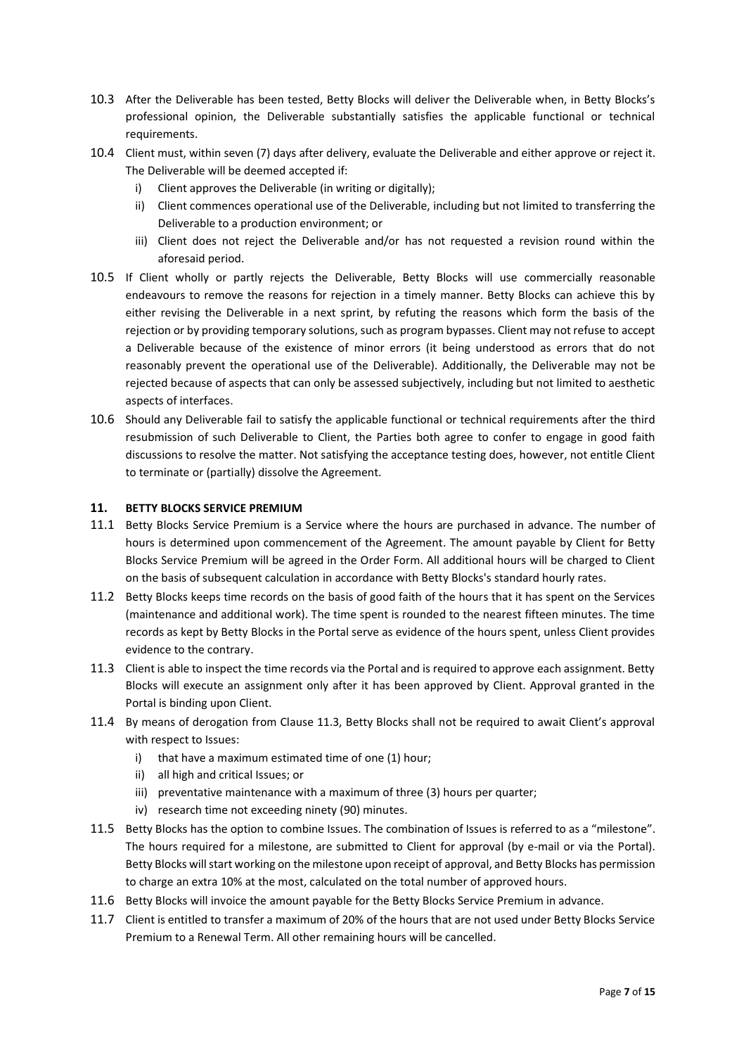- 10.3 After the Deliverable has been tested, Betty Blocks will deliver the Deliverable when, in Betty Blocks's professional opinion, the Deliverable substantially satisfies the applicable functional or technical requirements.
- 10.4 Client must, within seven (7) days after delivery, evaluate the Deliverable and either approve or reject it. The Deliverable will be deemed accepted if:
	- i) Client approves the Deliverable (in writing or digitally);
	- ii) Client commences operational use of the Deliverable, including but not limited to transferring the Deliverable to a production environment; or
	- iii) Client does not reject the Deliverable and/or has not requested a revision round within the aforesaid period.
- 10.5 If Client wholly or partly rejects the Deliverable, Betty Blocks will use commercially reasonable endeavours to remove the reasons for rejection in a timely manner. Betty Blocks can achieve this by either revising the Deliverable in a next sprint, by refuting the reasons which form the basis of the rejection or by providing temporary solutions, such as program bypasses. Client may not refuse to accept a Deliverable because of the existence of minor errors (it being understood as errors that do not reasonably prevent the operational use of the Deliverable). Additionally, the Deliverable may not be rejected because of aspects that can only be assessed subjectively, including but not limited to aesthetic aspects of interfaces.
- 10.6 Should any Deliverable fail to satisfy the applicable functional or technical requirements after the third resubmission of such Deliverable to Client, the Parties both agree to confer to engage in good faith discussions to resolve the matter. Not satisfying the acceptance testing does, however, not entitle Client to terminate or (partially) dissolve the Agreement.

#### **11. BETTY BLOCKS SERVICE PREMIUM**

- 11.1 Betty Blocks Service Premium is a Service where the hours are purchased in advance. The number of hours is determined upon commencement of the Agreement. The amount payable by Client for Betty Blocks Service Premium will be agreed in the Order Form. All additional hours will be charged to Client on the basis of subsequent calculation in accordance with Betty Blocks's standard hourly rates.
- 11.2 Betty Blocks keeps time records on the basis of good faith of the hours that it has spent on the Services (maintenance and additional work). The time spent is rounded to the nearest fifteen minutes. The time records as kept by Betty Blocks in the Portal serve as evidence of the hours spent, unless Client provides evidence to the contrary.
- 11.3 Client is able to inspect the time records via the Portal and is required to approve each assignment. Betty Blocks will execute an assignment only after it has been approved by Client. Approval granted in the Portal is binding upon Client.
- 11.4 By means of derogation from Clause 11.3, Betty Blocks shall not be required to await Client's approval with respect to Issues:
	- i) that have a maximum estimated time of one (1) hour;
	- ii) all high and critical Issues; or
	- iii) preventative maintenance with a maximum of three (3) hours per quarter;
	- iv) research time not exceeding ninety (90) minutes.
- 11.5 Betty Blocks has the option to combine Issues. The combination of Issues is referred to as a "milestone". The hours required for a milestone, are submitted to Client for approval (by e-mail or via the Portal). Betty Blocks will start working on the milestone upon receipt of approval, and Betty Blocks has permission to charge an extra 10% at the most, calculated on the total number of approved hours.
- 11.6 Betty Blocks will invoice the amount payable for the Betty Blocks Service Premium in advance.
- 11.7 Client is entitled to transfer a maximum of 20% of the hours that are not used under Betty Blocks Service Premium to a Renewal Term. All other remaining hours will be cancelled.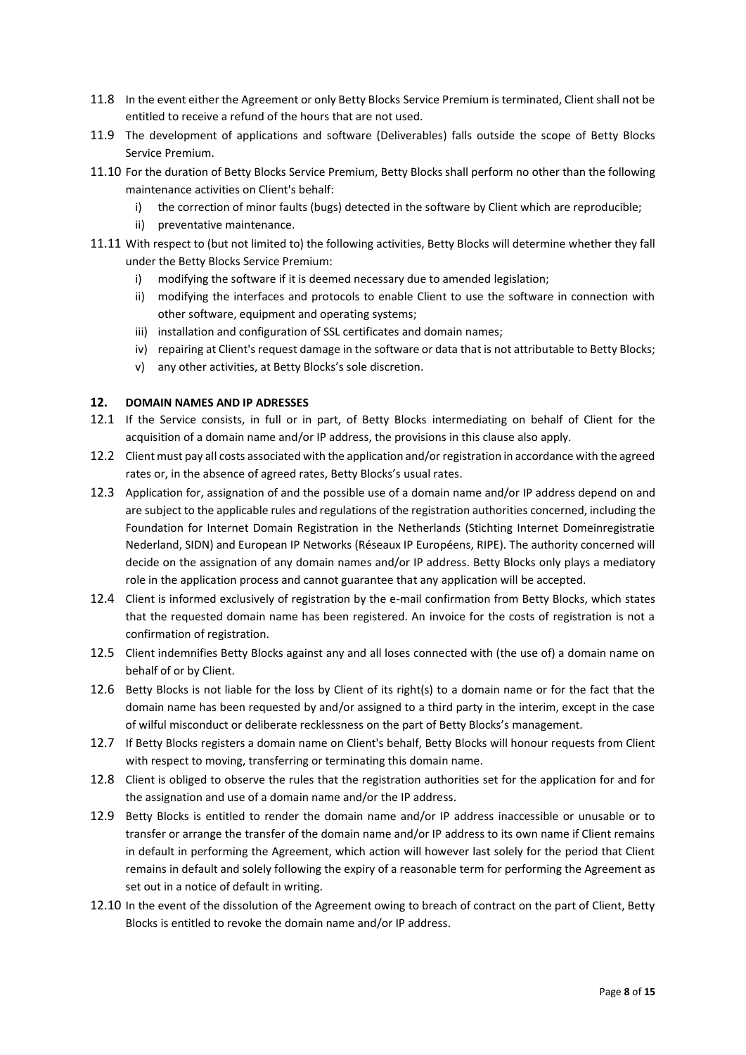- 11.8 In the event either the Agreement or only Betty Blocks Service Premium is terminated, Client shall not be entitled to receive a refund of the hours that are not used.
- 11.9 The development of applications and software (Deliverables) falls outside the scope of Betty Blocks Service Premium.
- 11.10 For the duration of Betty Blocks Service Premium, Betty Blocks shall perform no other than the following maintenance activities on Client's behalf:
	- i) the correction of minor faults (bugs) detected in the software by Client which are reproducible;
	- ii) preventative maintenance.
- 11.11 With respect to (but not limited to) the following activities, Betty Blocks will determine whether they fall under the Betty Blocks Service Premium:
	- i) modifying the software if it is deemed necessary due to amended legislation;
	- ii) modifying the interfaces and protocols to enable Client to use the software in connection with other software, equipment and operating systems;
	- iii) installation and configuration of SSL certificates and domain names;
	- iv) repairing at Client's request damage in the software or data that is not attributable to Betty Blocks;
	- v) any other activities, at Betty Blocks's sole discretion.

## **12. DOMAIN NAMES AND IP ADRESSES**

- 12.1 If the Service consists, in full or in part, of Betty Blocks intermediating on behalf of Client for the acquisition of a domain name and/or IP address, the provisions in this clause also apply.
- 12.2 Client must pay all costs associated with the application and/or registration in accordance with the agreed rates or, in the absence of agreed rates, Betty Blocks's usual rates.
- 12.3 Application for, assignation of and the possible use of a domain name and/or IP address depend on and are subject to the applicable rules and regulations of the registration authorities concerned, including the Foundation for Internet Domain Registration in the Netherlands (Stichting Internet Domeinregistratie Nederland, SIDN) and European IP Networks (Réseaux IP Européens, RIPE). The authority concerned will decide on the assignation of any domain names and/or IP address. Betty Blocks only plays a mediatory role in the application process and cannot guarantee that any application will be accepted.
- 12.4 Client is informed exclusively of registration by the e-mail confirmation from Betty Blocks, which states that the requested domain name has been registered. An invoice for the costs of registration is not a confirmation of registration.
- 12.5 Client indemnifies Betty Blocks against any and all loses connected with (the use of) a domain name on behalf of or by Client.
- 12.6 Betty Blocks is not liable for the loss by Client of its right(s) to a domain name or for the fact that the domain name has been requested by and/or assigned to a third party in the interim, except in the case of wilful misconduct or deliberate recklessness on the part of Betty Blocks's management.
- 12.7 If Betty Blocks registers a domain name on Client's behalf, Betty Blocks will honour requests from Client with respect to moving, transferring or terminating this domain name.
- 12.8 Client is obliged to observe the rules that the registration authorities set for the application for and for the assignation and use of a domain name and/or the IP address.
- 12.9 Betty Blocks is entitled to render the domain name and/or IP address inaccessible or unusable or to transfer or arrange the transfer of the domain name and/or IP address to its own name if Client remains in default in performing the Agreement, which action will however last solely for the period that Client remains in default and solely following the expiry of a reasonable term for performing the Agreement as set out in a notice of default in writing.
- 12.10 In the event of the dissolution of the Agreement owing to breach of contract on the part of Client, Betty Blocks is entitled to revoke the domain name and/or IP address.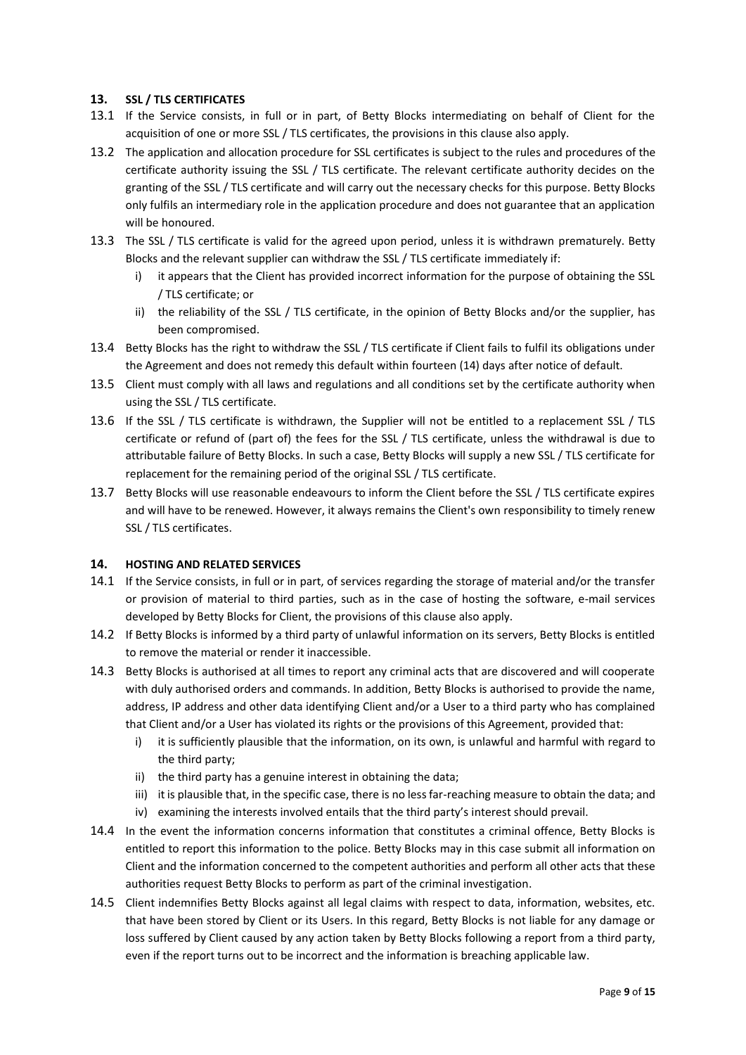## **13. SSL / TLS CERTIFICATES**

- 13.1 If the Service consists, in full or in part, of Betty Blocks intermediating on behalf of Client for the acquisition of one or more SSL / TLS certificates, the provisions in this clause also apply.
- 13.2 The application and allocation procedure for SSL certificates is subject to the rules and procedures of the certificate authority issuing the SSL / TLS certificate. The relevant certificate authority decides on the granting of the SSL / TLS certificate and will carry out the necessary checks for this purpose. Betty Blocks only fulfils an intermediary role in the application procedure and does not guarantee that an application will be honoured.
- 13.3 The SSL / TLS certificate is valid for the agreed upon period, unless it is withdrawn prematurely. Betty Blocks and the relevant supplier can withdraw the SSL / TLS certificate immediately if:
	- i) it appears that the Client has provided incorrect information for the purpose of obtaining the SSL / TLS certificate; or
	- ii) the reliability of the SSL / TLS certificate, in the opinion of Betty Blocks and/or the supplier, has been compromised.
- 13.4 Betty Blocks has the right to withdraw the SSL / TLS certificate if Client fails to fulfil its obligations under the Agreement and does not remedy this default within fourteen (14) days after notice of default.
- 13.5 Client must comply with all laws and regulations and all conditions set by the certificate authority when using the SSL / TLS certificate.
- 13.6 If the SSL / TLS certificate is withdrawn, the Supplier will not be entitled to a replacement SSL / TLS certificate or refund of (part of) the fees for the SSL / TLS certificate, unless the withdrawal is due to attributable failure of Betty Blocks. In such a case, Betty Blocks will supply a new SSL / TLS certificate for replacement for the remaining period of the original SSL / TLS certificate.
- 13.7 Betty Blocks will use reasonable endeavours to inform the Client before the SSL / TLS certificate expires and will have to be renewed. However, it always remains the Client's own responsibility to timely renew SSL / TLS certificates.

## **14. HOSTING AND RELATED SERVICES**

- 14.1 If the Service consists, in full or in part, of services regarding the storage of material and/or the transfer or provision of material to third parties, such as in the case of hosting the software, e-mail services developed by Betty Blocks for Client, the provisions of this clause also apply.
- 14.2 If Betty Blocks is informed by a third party of unlawful information on its servers, Betty Blocks is entitled to remove the material or render it inaccessible.
- 14.3 Betty Blocks is authorised at all times to report any criminal acts that are discovered and will cooperate with duly authorised orders and commands. In addition, Betty Blocks is authorised to provide the name, address, IP address and other data identifying Client and/or a User to a third party who has complained that Client and/or a User has violated its rights or the provisions of this Agreement, provided that:
	- i) it is sufficiently plausible that the information, on its own, is unlawful and harmful with regard to the third party;
	- ii) the third party has a genuine interest in obtaining the data;
	- iii) it is plausible that, in the specific case, there is no less far-reaching measure to obtain the data; and
	- iv) examining the interests involved entails that the third party's interest should prevail.
- 14.4 In the event the information concerns information that constitutes a criminal offence, Betty Blocks is entitled to report this information to the police. Betty Blocks may in this case submit all information on Client and the information concerned to the competent authorities and perform all other acts that these authorities request Betty Blocks to perform as part of the criminal investigation.
- 14.5 Client indemnifies Betty Blocks against all legal claims with respect to data, information, websites, etc. that have been stored by Client or its Users. In this regard, Betty Blocks is not liable for any damage or loss suffered by Client caused by any action taken by Betty Blocks following a report from a third party, even if the report turns out to be incorrect and the information is breaching applicable law.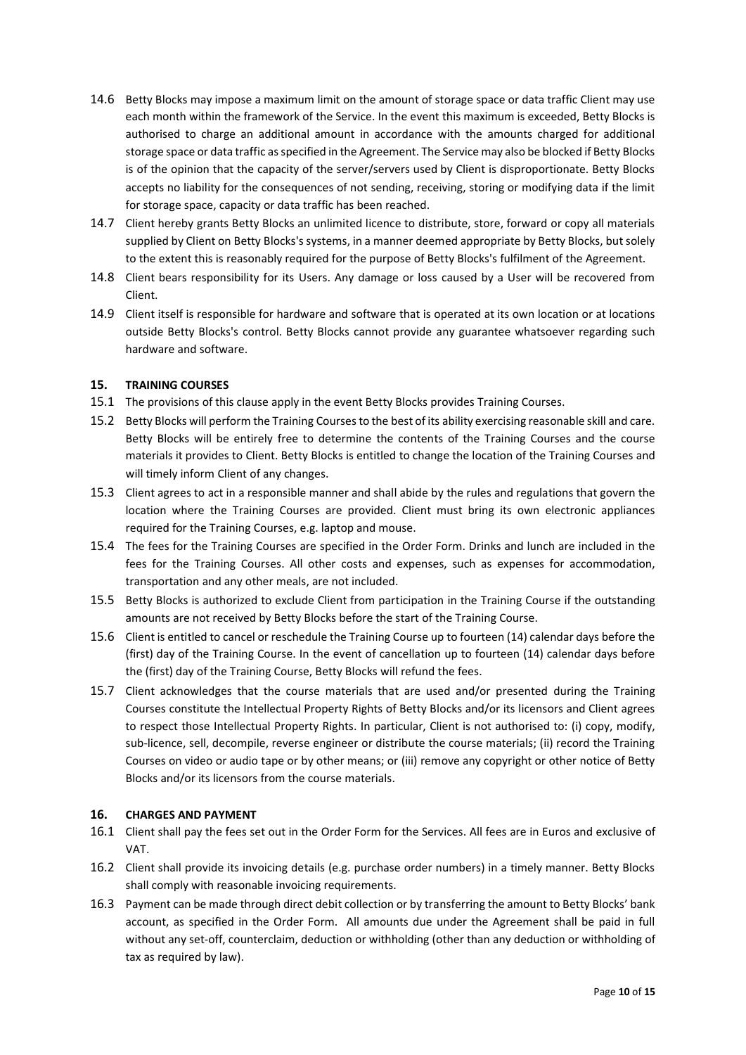- 14.6 Betty Blocks may impose a maximum limit on the amount of storage space or data traffic Client may use each month within the framework of the Service. In the event this maximum is exceeded, Betty Blocks is authorised to charge an additional amount in accordance with the amounts charged for additional storage space or data traffic as specified in the Agreement. The Service may also be blocked if Betty Blocks is of the opinion that the capacity of the server/servers used by Client is disproportionate. Betty Blocks accepts no liability for the consequences of not sending, receiving, storing or modifying data if the limit for storage space, capacity or data traffic has been reached.
- 14.7 Client hereby grants Betty Blocks an unlimited licence to distribute, store, forward or copy all materials supplied by Client on Betty Blocks's systems, in a manner deemed appropriate by Betty Blocks, but solely to the extent this is reasonably required for the purpose of Betty Blocks's fulfilment of the Agreement.
- 14.8 Client bears responsibility for its Users. Any damage or loss caused by a User will be recovered from Client.
- 14.9 Client itself is responsible for hardware and software that is operated at its own location or at locations outside Betty Blocks's control. Betty Blocks cannot provide any guarantee whatsoever regarding such hardware and software.

## **15. TRAINING COURSES**

- 15.1 The provisions of this clause apply in the event Betty Blocks provides Training Courses.
- 15.2 Betty Blocks will perform the Training Courses to the best of its ability exercising reasonable skill and care. Betty Blocks will be entirely free to determine the contents of the Training Courses and the course materials it provides to Client. Betty Blocks is entitled to change the location of the Training Courses and will timely inform Client of any changes.
- 15.3 Client agrees to act in a responsible manner and shall abide by the rules and regulations that govern the location where the Training Courses are provided. Client must bring its own electronic appliances required for the Training Courses, e.g. laptop and mouse.
- 15.4 The fees for the Training Courses are specified in the Order Form. Drinks and lunch are included in the fees for the Training Courses. All other costs and expenses, such as expenses for accommodation, transportation and any other meals, are not included.
- 15.5 Betty Blocks is authorized to exclude Client from participation in the Training Course if the outstanding amounts are not received by Betty Blocks before the start of the Training Course.
- 15.6 Client is entitled to cancel or reschedule the Training Course up to fourteen (14) calendar days before the (first) day of the Training Course. In the event of cancellation up to fourteen (14) calendar days before the (first) day of the Training Course, Betty Blocks will refund the fees.
- 15.7 Client acknowledges that the course materials that are used and/or presented during the Training Courses constitute the Intellectual Property Rights of Betty Blocks and/or its licensors and Client agrees to respect those Intellectual Property Rights. In particular, Client is not authorised to: (i) copy, modify, sub-licence, sell, decompile, reverse engineer or distribute the course materials; (ii) record the Training Courses on video or audio tape or by other means; or (iii) remove any copyright or other notice of Betty Blocks and/or its licensors from the course materials.

## **16. CHARGES AND PAYMENT**

- 16.1 Client shall pay the fees set out in the Order Form for the Services. All fees are in Euros and exclusive of VAT.
- 16.2 Client shall provide its invoicing details (e.g. purchase order numbers) in a timely manner. Betty Blocks shall comply with reasonable invoicing requirements.
- 16.3 Payment can be made through direct debit collection or by transferring the amount to Betty Blocks' bank account, as specified in the Order Form. All amounts due under the Agreement shall be paid in full without any set-off, counterclaim, deduction or withholding (other than any deduction or withholding of tax as required by law).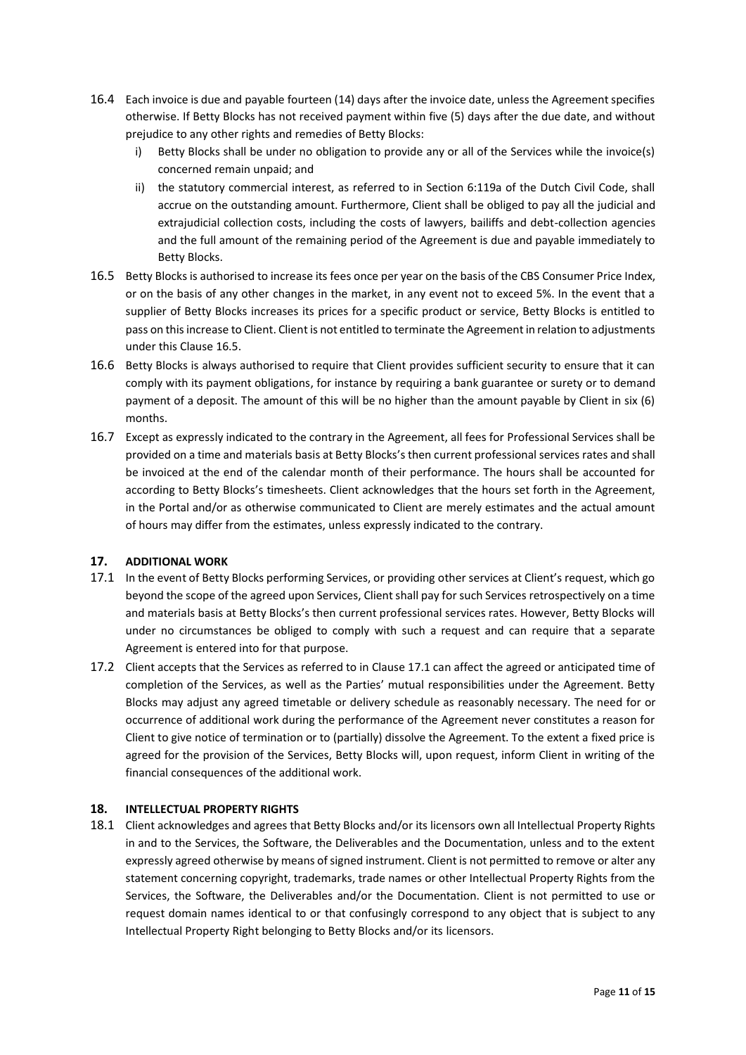- 16.4 Each invoice is due and payable fourteen (14) days after the invoice date, unless the Agreement specifies otherwise. If Betty Blocks has not received payment within five (5) days after the due date, and without prejudice to any other rights and remedies of Betty Blocks:
	- i) Betty Blocks shall be under no obligation to provide any or all of the Services while the invoice(s) concerned remain unpaid; and
	- ii) the statutory commercial interest, as referred to in Section 6:119a of the Dutch Civil Code, shall accrue on the outstanding amount. Furthermore, Client shall be obliged to pay all the judicial and extrajudicial collection costs, including the costs of lawyers, bailiffs and debt-collection agencies and the full amount of the remaining period of the Agreement is due and payable immediately to Betty Blocks.
- 16.5 Betty Blocks is authorised to increase its fees once per year on the basis of the CBS Consumer Price Index, or on the basis of any other changes in the market, in any event not to exceed 5%. In the event that a supplier of Betty Blocks increases its prices for a specific product or service, Betty Blocks is entitled to pass on this increase to Client. Client is not entitled to terminate the Agreement in relation to adjustments under this Clause 16.5.
- 16.6 Betty Blocks is always authorised to require that Client provides sufficient security to ensure that it can comply with its payment obligations, for instance by requiring a bank guarantee or surety or to demand payment of a deposit. The amount of this will be no higher than the amount payable by Client in six (6) months.
- 16.7 Except as expressly indicated to the contrary in the Agreement, all fees for Professional Services shall be provided on a time and materials basis at Betty Blocks's then current professional services rates and shall be invoiced at the end of the calendar month of their performance. The hours shall be accounted for according to Betty Blocks's timesheets. Client acknowledges that the hours set forth in the Agreement, in the Portal and/or as otherwise communicated to Client are merely estimates and the actual amount of hours may differ from the estimates, unless expressly indicated to the contrary.

# **17. ADDITIONAL WORK**

- 17.1 In the event of Betty Blocks performing Services, or providing other services at Client's request, which go beyond the scope of the agreed upon Services, Client shall pay for such Services retrospectively on a time and materials basis at Betty Blocks's then current professional services rates. However, Betty Blocks will under no circumstances be obliged to comply with such a request and can require that a separate Agreement is entered into for that purpose.
- 17.2 Client accepts that the Services as referred to in Clause 17.1 can affect the agreed or anticipated time of completion of the Services, as well as the Parties' mutual responsibilities under the Agreement. Betty Blocks may adjust any agreed timetable or delivery schedule as reasonably necessary. The need for or occurrence of additional work during the performance of the Agreement never constitutes a reason for Client to give notice of termination or to (partially) dissolve the Agreement. To the extent a fixed price is agreed for the provision of the Services, Betty Blocks will, upon request, inform Client in writing of the financial consequences of the additional work.

## **18. INTELLECTUAL PROPERTY RIGHTS**

18.1 Client acknowledges and agrees that Betty Blocks and/or its licensors own all Intellectual Property Rights in and to the Services, the Software, the Deliverables and the Documentation, unless and to the extent expressly agreed otherwise by means of signed instrument. Client is not permitted to remove or alter any statement concerning copyright, trademarks, trade names or other Intellectual Property Rights from the Services, the Software, the Deliverables and/or the Documentation. Client is not permitted to use or request domain names identical to or that confusingly correspond to any object that is subject to any Intellectual Property Right belonging to Betty Blocks and/or its licensors.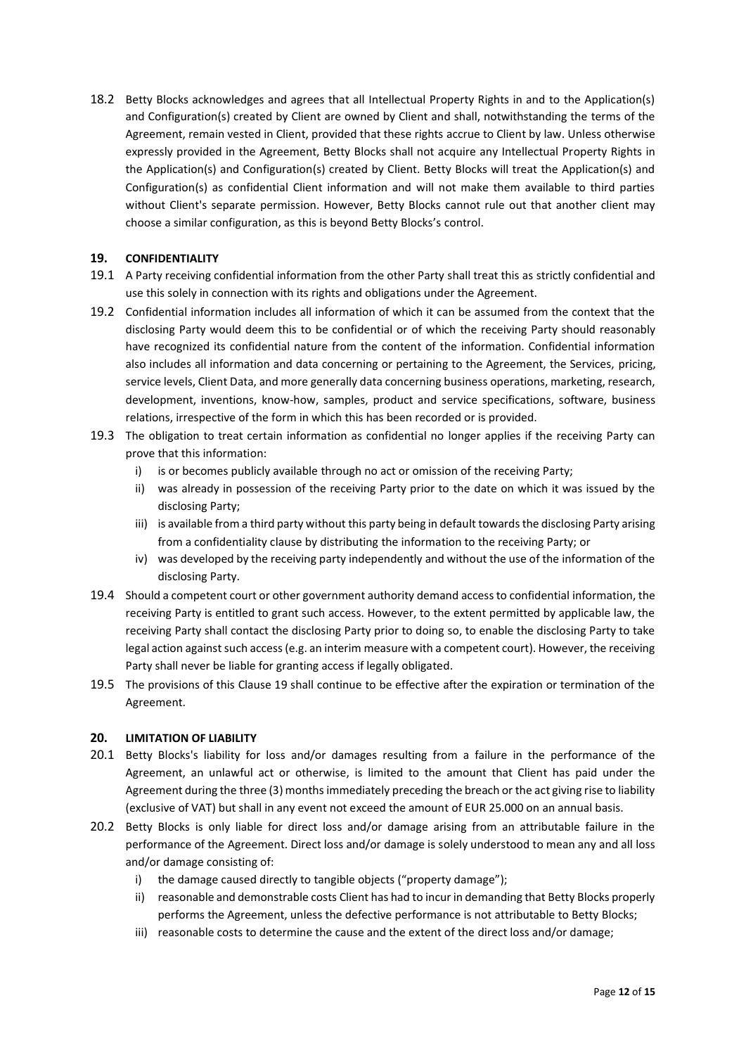18.2 Betty Blocks acknowledges and agrees that all Intellectual Property Rights in and to the Application(s) and Configuration(s) created by Client are owned by Client and shall, notwithstanding the terms of the Agreement, remain vested in Client, provided that these rights accrue to Client by law. Unless otherwise expressly provided in the Agreement, Betty Blocks shall not acquire any Intellectual Property Rights in the Application(s) and Configuration(s) created by Client. Betty Blocks will treat the Application(s) and Configuration(s) as confidential Client information and will not make them available to third parties without Client's separate permission. However, Betty Blocks cannot rule out that another client may choose a similar configuration, as this is beyond Betty Blocks's control.

## **19. CONFIDENTIALITY**

- 19.1 A Party receiving confidential information from the other Party shall treat this as strictly confidential and use this solely in connection with its rights and obligations under the Agreement.
- 19.2 Confidential information includes all information of which it can be assumed from the context that the disclosing Party would deem this to be confidential or of which the receiving Party should reasonably have recognized its confidential nature from the content of the information. Confidential information also includes all information and data concerning or pertaining to the Agreement, the Services, pricing, service levels, Client Data, and more generally data concerning business operations, marketing, research, development, inventions, know-how, samples, product and service specifications, software, business relations, irrespective of the form in which this has been recorded or is provided.
- 19.3 The obligation to treat certain information as confidential no longer applies if the receiving Party can prove that this information:
	- i) is or becomes publicly available through no act or omission of the receiving Party;
	- ii) was already in possession of the receiving Party prior to the date on which it was issued by the disclosing Party;
	- iii) is available from a third party without this party being in default towards the disclosing Party arising from a confidentiality clause by distributing the information to the receiving Party; or
	- iv) was developed by the receiving party independently and without the use of the information of the disclosing Party.
- 19.4 Should a competent court or other government authority demand access to confidential information, the receiving Party is entitled to grant such access. However, to the extent permitted by applicable law, the receiving Party shall contact the disclosing Party prior to doing so, to enable the disclosing Party to take legal action against such access (e.g. an interim measure with a competent court). However, the receiving Party shall never be liable for granting access if legally obligated.
- 19.5 The provisions of this Clause 19 shall continue to be effective after the expiration or termination of the Agreement.

## **20. LIMITATION OF LIABILITY**

- 20.1 Betty Blocks's liability for loss and/or damages resulting from a failure in the performance of the Agreement, an unlawful act or otherwise, is limited to the amount that Client has paid under the Agreement during the three (3) months immediately preceding the breach or the act giving rise to liability (exclusive of VAT) but shall in any event not exceed the amount of EUR 25.000 on an annual basis.
- 20.2 Betty Blocks is only liable for direct loss and/or damage arising from an attributable failure in the performance of the Agreement. Direct loss and/or damage is solely understood to mean any and all loss and/or damage consisting of:
	- i) the damage caused directly to tangible objects ("property damage");
	- ii) reasonable and demonstrable costs Client has had to incur in demanding that Betty Blocks properly performs the Agreement, unless the defective performance is not attributable to Betty Blocks;
	- iii) reasonable costs to determine the cause and the extent of the direct loss and/or damage;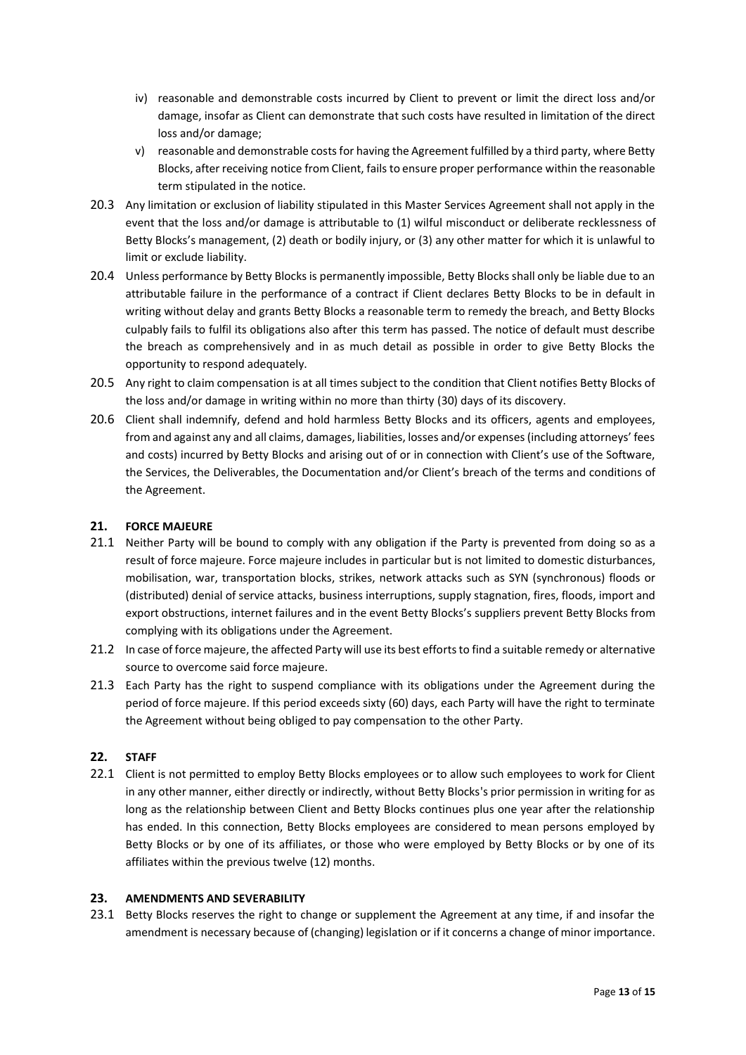- iv) reasonable and demonstrable costs incurred by Client to prevent or limit the direct loss and/or damage, insofar as Client can demonstrate that such costs have resulted in limitation of the direct loss and/or damage;
- v) reasonable and demonstrable costs for having the Agreement fulfilled by a third party, where Betty Blocks, after receiving notice from Client, fails to ensure proper performance within the reasonable term stipulated in the notice.
- 20.3 Any limitation or exclusion of liability stipulated in this Master Services Agreement shall not apply in the event that the loss and/or damage is attributable to (1) wilful misconduct or deliberate recklessness of Betty Blocks's management, (2) death or bodily injury, or (3) any other matter for which it is unlawful to limit or exclude liability.
- 20.4 Unless performance by Betty Blocks is permanently impossible, Betty Blocks shall only be liable due to an attributable failure in the performance of a contract if Client declares Betty Blocks to be in default in writing without delay and grants Betty Blocks a reasonable term to remedy the breach, and Betty Blocks culpably fails to fulfil its obligations also after this term has passed. The notice of default must describe the breach as comprehensively and in as much detail as possible in order to give Betty Blocks the opportunity to respond adequately.
- 20.5 Any right to claim compensation is at all times subject to the condition that Client notifies Betty Blocks of the loss and/or damage in writing within no more than thirty (30) days of its discovery.
- 20.6 Client shall indemnify, defend and hold harmless Betty Blocks and its officers, agents and employees, from and against any and all claims, damages, liabilities, losses and/or expenses (including attorneys' fees and costs) incurred by Betty Blocks and arising out of or in connection with Client's use of the Software, the Services, the Deliverables, the Documentation and/or Client's breach of the terms and conditions of the Agreement.

## **21. FORCE MAJEURE**

- 21.1 Neither Party will be bound to comply with any obligation if the Party is prevented from doing so as a result of force majeure. Force majeure includes in particular but is not limited to domestic disturbances, mobilisation, war, transportation blocks, strikes, network attacks such as SYN (synchronous) floods or (distributed) denial of service attacks, business interruptions, supply stagnation, fires, floods, import and export obstructions, internet failures and in the event Betty Blocks's suppliers prevent Betty Blocks from complying with its obligations under the Agreement.
- 21.2 In case of force majeure, the affected Party will use its best efforts to find a suitable remedy or alternative source to overcome said force majeure.
- 21.3 Each Party has the right to suspend compliance with its obligations under the Agreement during the period of force majeure. If this period exceeds sixty (60) days, each Party will have the right to terminate the Agreement without being obliged to pay compensation to the other Party.

## **22. STAFF**

22.1 Client is not permitted to employ Betty Blocks employees or to allow such employees to work for Client in any other manner, either directly or indirectly, without Betty Blocks's prior permission in writing for as long as the relationship between Client and Betty Blocks continues plus one year after the relationship has ended. In this connection, Betty Blocks employees are considered to mean persons employed by Betty Blocks or by one of its affiliates, or those who were employed by Betty Blocks or by one of its affiliates within the previous twelve (12) months.

## **23. AMENDMENTS AND SEVERABILITY**

23.1 Betty Blocks reserves the right to change or supplement the Agreement at any time, if and insofar the amendment is necessary because of (changing) legislation or if it concerns a change of minor importance.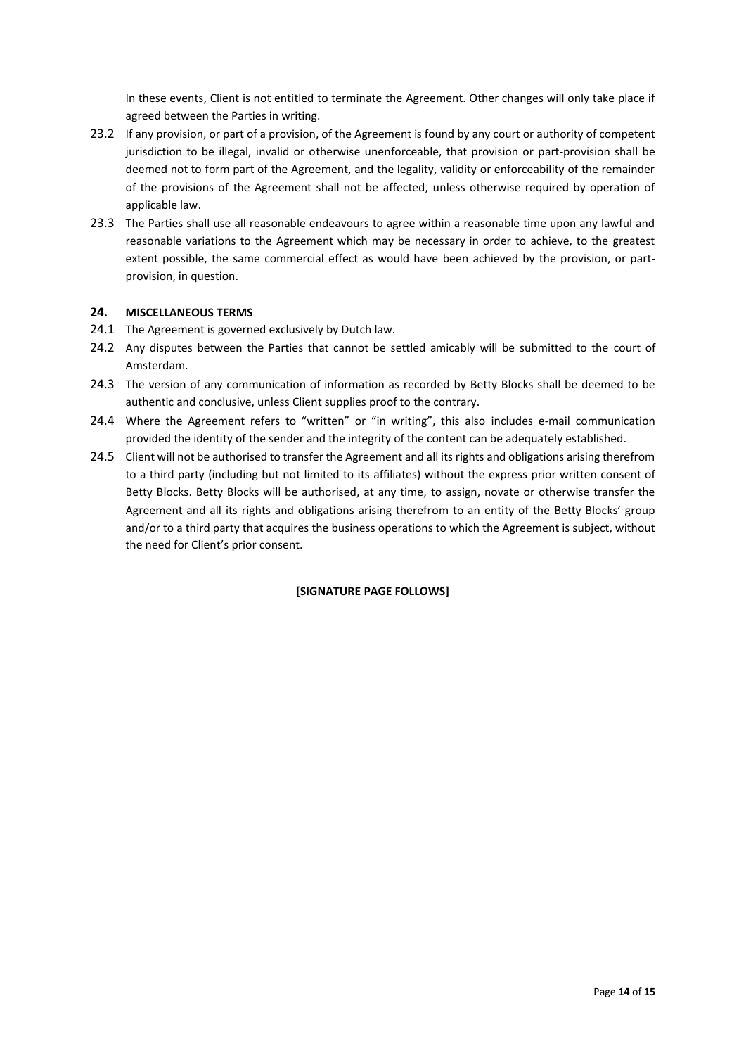In these events, Client is not entitled to terminate the Agreement. Other changes will only take place if agreed between the Parties in writing.

- 23.2 If any provision, or part of a provision, of the Agreement is found by any court or authority of competent jurisdiction to be illegal, invalid or otherwise unenforceable, that provision or part-provision shall be deemed not to form part of the Agreement, and the legality, validity or enforceability of the remainder of the provisions of the Agreement shall not be affected, unless otherwise required by operation of applicable law.
- 23.3 The Parties shall use all reasonable endeavours to agree within a reasonable time upon any lawful and reasonable variations to the Agreement which may be necessary in order to achieve, to the greatest extent possible, the same commercial effect as would have been achieved by the provision, or partprovision, in question.

## **24. MISCELLANEOUS TERMS**

- 24.1 The Agreement is governed exclusively by Dutch law.
- 24.2 Any disputes between the Parties that cannot be settled amicably will be submitted to the court of Amsterdam.
- 24.3 The version of any communication of information as recorded by Betty Blocks shall be deemed to be authentic and conclusive, unless Client supplies proof to the contrary.
- 24.4 Where the Agreement refers to "written" or "in writing", this also includes e-mail communication provided the identity of the sender and the integrity of the content can be adequately established.
- 24.5 Client will not be authorised to transfer the Agreement and all its rights and obligations arising therefrom to a third party (including but not limited to its affiliates) without the express prior written consent of Betty Blocks. Betty Blocks will be authorised, at any time, to assign, novate or otherwise transfer the Agreement and all its rights and obligations arising therefrom to an entity of the Betty Blocks' group and/or to a third party that acquires the business operations to which the Agreement is subject, without the need for Client's prior consent.

# **[SIGNATURE PAGE FOLLOWS]**